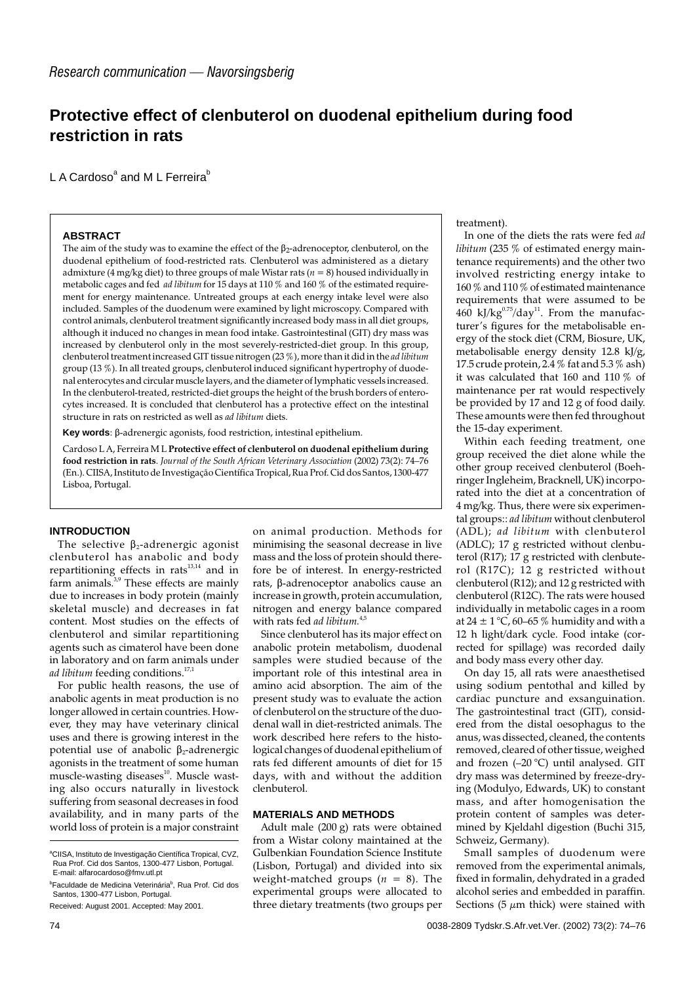# **Protective effect of clenbuterol on duodenal epithelium during food restriction in rats**

L A Cardoso $^{\circ}$  and M L Ferreira $^{\circ}$ 

# **ABSTRACT**

The aim of the study was to examine the effect of the  $\beta_2$ -adrenoceptor, clenbuterol, on the duodenal epithelium of food-restricted rats. Clenbuterol was administered as a dietary admixture ( $\frac{4}{3}$  mg/kg diet) to three groups of male Wistar rats ( $n = 8$ ) housed individually in metabolic cages and fed *ad libitum* for 15 days at 110 % and 160 % of the estimated requirement for energy maintenance. Untreated groups at each energy intake level were also included. Samples of the duodenum were examined by light microscopy. Compared with control animals, clenbuterol treatment significantly increased body mass in all diet groups, although it induced no changes in mean food intake. Gastrointestinal (GIT) dry mass was increased by clenbuterol only in the most severely-restricted-diet group. In this group, clenbuterol treatment increased GIT tissue nitrogen (23 %), more than it did in the *ad libitum* group (13 %). In all treated groups, clenbuterol induced significant hypertrophy of duodenal enterocytes and circular muscle layers, and the diameter of lymphatic vessels increased. In the clenbuterol-treated, restricted-diet groups the height of the brush borders of enterocytes increased. It is concluded that clenbuterol has a protective effect on the intestinal structure in rats on restricted as well as *ad libitum* diets.

**Key words**: β-adrenergic agonists, food restriction, intestinal epithelium.

Cardoso L A, Ferreira M L **Protective effect of clenbuterol on duodenal epithelium during food restriction in rats**. *Journal of the South African Veterinary Association* (2002) 73(2): 74–76 (En.). CIISA, Instituto de Investigação Científica Tropical, Rua Prof. Cid dos Santos, 1300-477 Lisboa, Portugal.

# **INTRODUCTION**

The selective  $\beta_2$ -adrenergic agonist clenbuterol has anabolic and body repartitioning effects in rats $^{13,14}$  and in  $\lim_{n \to \infty}$  farm animals.<sup>3,9</sup> These effects are mainly due to increases in body protein (mainly skeletal muscle) and decreases in fat content. Most studies on the effects of clenbuterol and similar repartitioning agents such as cimaterol have been done in laboratory and on farm animals under *ad libitum* feeding conditions.<sup>17,1</sup>

For public health reasons, the use of anabolic agents in meat production is no longer allowed in certain countries. However, they may have veterinary clinical uses and there is growing interest in the potential use of anabolic  $\beta_2$ -adrenergic agonists in the treatment of some human muscle-wasting diseases $^{10}$ . Muscle wasting also occurs naturally in livestock suffering from seasonal decreases in food availability, and in many parts of the world loss of protein is a major constraint

mass and the loss of protein should therefore be of interest. In energy-restricted  $rats$ ,  $\beta$ -adrenoceptor anabolics cause an increase in growth, protein accumulation, nitrogen and energy balance compared with rats fed *ad libitum.*4,5 Since clenbuterol has its major effect on anabolic protein metabolism, duodenal

samples were studied because of the important role of this intestinal area in amino acid absorption. The aim of the present study was to evaluate the action of clenbuterol on the structure of the duodenal wall in diet-restricted animals. The work described here refers to the histological changes of duodenal epithelium of rats fed different amounts of diet for 15 days, with and without the addition clenbuterol.

on animal production. Methods for minimising the seasonal decrease in live

# **MATERIALS AND METHODS**

Adult male (200 g) rats were obtained from a Wistar colony maintained at the Gulbenkian Foundation Science Institute (Lisbon, Portugal) and divided into six weight-matched groups  $(n = 8)$ . The experimental groups were allocated to three dietary treatments (two groups per treatment).

In one of the diets the rats were fed *ad libitum* (235 % of estimated energy maintenance requirements) and the other two involved restricting energy intake to 160 % and 110 % of estimated maintenance requirements that were assumed to be  $460$  kJ/kg $^{0.75}$ /day<sup>11</sup>. From the manufacturer's figures for the metabolisable energy of the stock diet (CRM, Biosure, UK, metabolisable energy density 12.8 kJ/g, 17.5 crude protein, 2.4 % fat and 5.3 % ash) it was calculated that 160 and 110 % of maintenance per rat would respectively be provided by 17 and 12 g of food daily. These amounts were then fed throughout the 15-day experiment.

Within each feeding treatment, one group received the diet alone while the other group received clenbuterol (Boehringer Ingleheim, Bracknell, UK) incorporated into the diet at a concentration of 4 mg/kg. Thus, there were six experimental groups:: *ad libitum* without clenbuterol (ADL); *ad libitum* with clenbuterol (ADLC); 17 g restricted without clenbuterol (R17); 17 g restricted with clenbuterol (R17C); 12 g restricted without clenbuterol (R12); and 12 g restricted with clenbuterol (R12C). The rats were housed individually in metabolic cages in a room at  $24 \pm 1$  °C, 60–65 % humidity and with a 12 h light/dark cycle. Food intake (corrected for spillage) was recorded daily and body mass every other day.

On day 15, all rats were anaesthetised using sodium pentothal and killed by cardiac puncture and exsanguination. The gastrointestinal tract (GIT), considered from the distal oesophagus to the anus, was dissected, cleaned, the contents removed, cleared of other tissue, weighed and frozen (–20 °C) until analysed. GIT dry mass was determined by freeze-drying (Modulyo, Edwards, UK) to constant mass, and after homogenisation the protein content of samples was determined by Kjeldahl digestion (Buchi 315, Schweiz, Germany).

Small samples of duodenum were removed from the experimental animals, fixed in formalin, dehydrated in a graded alcohol series and embedded in paraffin. Sections (5  $\mu$ m thick) were stained with

<sup>&</sup>lt;sup>a</sup>CIISA, Instituto de Investigação Científica Tropical, CVZ, Rua Prof. Cid dos Santos, 1300-477 Lisbon, Portugal. E-mail: alfarocardoso@fmv.utl.pt

<sup>&</sup>lt;sup>b</sup>Faculdade de Medicina Veterinária<sup>b</sup>, Rua Prof. Cid dos Santos, 1300-477 Lisbon, Portugal.

Received: August 2001. Accepted: May 2001.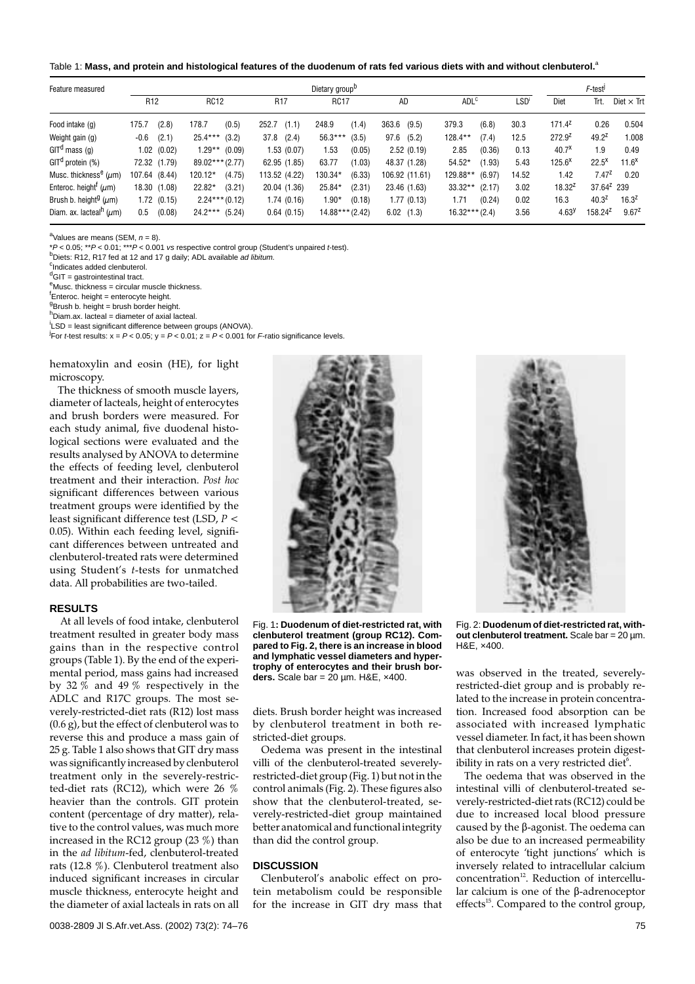Table 1: **Mass, and protein and histological features of the duodenum of rats fed various diets with and without clenbuterol.**<sup>a</sup>

| Feature measured                          | Dietary group <sup>D</sup> |                 |                   |        |                 |              |                   |        |           |                |                  |        | F-test <sup>j</sup> |                   |                     |                   |
|-------------------------------------------|----------------------------|-----------------|-------------------|--------|-----------------|--------------|-------------------|--------|-----------|----------------|------------------|--------|---------------------|-------------------|---------------------|-------------------|
|                                           | R <sub>12</sub>            |                 | <b>RC12</b>       |        | R <sub>17</sub> |              | <b>RC17</b>       |        | <b>AD</b> |                | ADL <sup>c</sup> |        | LSD'                | Diet              | Trt.                | Diet $\times$ Trt |
| Food intake (q)                           | 175.7                      | (2.8)           | 178.7             | (0.5)  | 252.7           | (1.1)        | 248.9             | (1.4)  | 363.6     | (9.5)          | 379.3            | (6.8)  | 30.3                | $171.4^2$         | 0.26                | 0.504             |
| Weight gain (g)                           | $-0.6$                     | (2.1)           | $25.4***$         | (3.2)  | 37.8            | (2.4)        | $56.3***$         | (3.5)  | 97.6      | (5.2)          | 128.4**          | (7.4)  | 12.5                | $272.9^2$         | $49.2^2$            | 1.008             |
| $GITd$ mass (q)                           |                            | $1.02$ $(0.02)$ | $1.29**$ (0.09)   |        |                 | 1.53 (0.07)  | 1.53              | (0.05) |           | 2.52(0.19)     | 2.85             | (0.36) | 0.13                | 40.7 <sup>x</sup> | 1.9                 | 0.49              |
| GIT <sup>d</sup> protein (%)              |                            | 72.32 (1.79)    | $89.02***$ (2.77) |        |                 | 62.95 (1.85) | 63.77             | (1.03) |           | 48.37 (1.28)   | $54.52*$         | (1.93) | 5.43                | $125.6^X$         | $22.5^{\text{X}}$   | $11.6^x$          |
| Musc. thickness <sup>e</sup> ( $\mu$ m)   | 107.64 (8.44)              |                 | 120.12*           | (4.75) | 113.52 (4.22)   |              | 130.34*           | (6.33) |           | 106.92 (11.61) | 129.88**         | (6.97) | 14.52               | 1.42              | $7.47^{2}$          | 0.20              |
| Enteroc. height <sup>1</sup> ( $\mu$ m)   |                            | 18.30 (1.08)    | 22.82*            | (3.21) |                 | 20.04 (1.36) | 25.84*            | (2.31) |           | 23.46 (1.63)   | $33.32**$        | (2.17) | 3.02                | $18.32^{2}$       | $37.64^2$ 239       |                   |
| Brush b. height <sup>g</sup> ( $\mu$ m)   |                            | 1.72(0.15)      | $2.24***(0.12)$   |        |                 | 1.74 (0.16)  | $1.90*$           | (0.18) |           | 1.77 (0.13)    | 1.71             | (0.24) | 0.02                | 16.3              | $40.3^{2}$          | $16.3^2$          |
| Diam. ax. lacteal <sup>n</sup> ( $\mu$ m) | 0.5                        | (0.08)          | $24.2***$ (5.24)  |        |                 | 0.64(0.15)   | $14.88***$ (2.42) |        |           | 6.02(1.3)      | $16.32***(2.4)$  |        | 3.56                | 4.63 <sup>y</sup> | 158.24 <sup>2</sup> | $9.67^2$          |

<sup>a</sup>Values are means (SEM,  $n = 8$ ).

\*P < 0.05; \*\*P < 0.01; \*\*\*P < 0.001 vs respective control group (Student's unpaired t-test).

 $<sup>b</sup>$ Diets: R12, R17 fed at 12 and 17 g daily; ADL available ad libitum.</sup>

Indicates added clenbuterol.

<sup>d</sup>GIT = gastrointestinal tract.

<sup>e</sup>Musc. thickness = circular muscle thickness.

<sup>f</sup>Enteroc. height = enterocyte height.

<sup>g</sup>Brush b. height = brush border height.

h<br>Diam.ax. lacteal = diameter of axial lacteal.

<sup>i</sup>LSD = least significant difference between groups (ANOVA).

For *t*-test results:  $x = P < 0.05$ ;  $y = P < 0.01$ ;  $z = P < 0.001$  for *F*-ratio significance levels.

hematoxylin and eosin (HE), for light microscopy.

The thickness of smooth muscle layers, diameter of lacteals, height of enterocytes and brush borders were measured. For each study animal, five duodenal histological sections were evaluated and the results analysed by ANOVA to determine the effects of feeding level, clenbuterol treatment and their interaction. *Post hoc* significant differences between various treatment groups were identified by the least significant difference test (LSD, *P* < 0.05). Within each feeding level, significant differences between untreated and clenbuterol-treated rats were determined using Student's *t*-tests for unmatched data. All probabilities are two-tailed.

### **RESULTS**

At all levels of food intake, clenbuterol treatment resulted in greater body mass gains than in the respective control groups (Table 1). By the end of the experimental period, mass gains had increased by 32  $\%$  and 49  $\%$  respectively in the ADLC and R17C groups. The most severely-restricted-diet rats (R12) lost mass (0.6 g), but the effect of clenbuterol was to reverse this and produce a mass gain of 25 g. Table 1 also shows that GIT dry mass was significantly increased by clenbuterol treatment only in the severely-restricted-diet rats (RC12), which were 26 % heavier than the controls. GIT protein content (percentage of dry matter), relative to the control values, was much more increased in the RC12 group (23 %) than in the *ad libitum*-fed, clenbuterol-treated rats (12.8 %). Clenbuterol treatment also induced significant increases in circular muscle thickness, enterocyte height and the diameter of axial lacteals in rats on all



Fig. 1**: Duodenum of diet-restricted rat, with clenbuterol treatment (group RC12). Compared to Fig. 2, there is an increase in blood and lymphatic vessel diameters and hypertrophy of enterocytes and their brush borders.** Scale bar = 20 µm. H&E, ×400.

diets. Brush border height was increased by clenbuterol treatment in both restricted-diet groups.

Oedema was present in the intestinal villi of the clenbuterol-treated severelyrestricted-diet group (Fig. 1) but not in the control animals (Fig. 2). These figures also show that the clenbuterol-treated, severely-restricted-diet group maintained better anatomical and functional integrity than did the control group.

#### **DISCUSSION**

Clenbuterol's anabolic effect on protein metabolism could be responsible for the increase in GIT dry mass that

Fig. 2: **Duodenum of diet-restricted rat, without clenbuterol treatment.** Scale bar = 20 µm. H&E, ×400.

was observed in the treated, severelyrestricted-diet group and is probably related to the increase in protein concentration. Increased food absorption can be associated with increased lymphatic vessel diameter. In fact, it has been shown that clenbuterol increases protein digestibility in rats on a very restricted diet $^6$ .

The oedema that was observed in the intestinal villi of clenbuterol-treated severely-restricted-diet rats (RC12) could be due to increased local blood pressure caused by the  $\beta$ -agonist. The oedema can also be due to an increased permeability of enterocyte 'tight junctions' which is inversely related to intracellular calcium  $concentration<sup>12</sup>$ . Reduction of intercellular calcium is one of the  $\beta$ -adrenoceptor effects<sup>15</sup>. Compared to the control group,